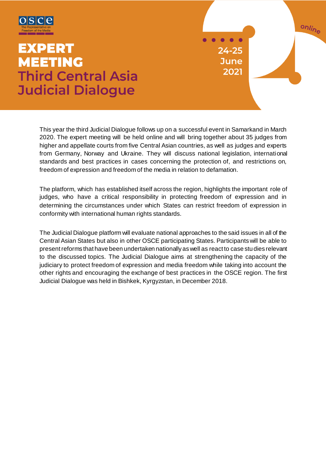

# **EXPERT MEETING Third Central Asia Judicial Dialogue**

 $24 - 25$ **June** 2021

online

This year the third Judicial Dialogue follows up on a successful event in Samarkand in March 2020. The expert meeting will be held online and will bring together about 35 judges from higher and appellate courts from five Central Asian countries, as well as judges and experts from Germany, Norway and Ukraine. They will discuss national legislation, international standards and best practices in cases concerning the protection of, and restrictions on, freedom of expression and freedom of the media in relation to defamation.

The platform, which has established itself across the region, highlights the important role of judges, who have a critical responsibility in protecting freedom of expression and in determining the circumstances under which States can restrict freedom of expression in conformity with international human rights standards.

The Judicial Dialogue platform will evaluate national approaches to the said issues in all of the Central Asian States but also in other OSCE participating States. Participants will be able to present reforms that have been undertaken nationally as well as react to case studies relevant to the discussed topics. The Judicial Dialogue aims at strengthening the capacity of the judiciary to protect freedom of expression and media freedom while taking into account the other rights and encouraging the exchange of best practices in the OSCE region. The first Judicial Dialogue was held in Bishkek, Kyrgyzstan, in December 2018.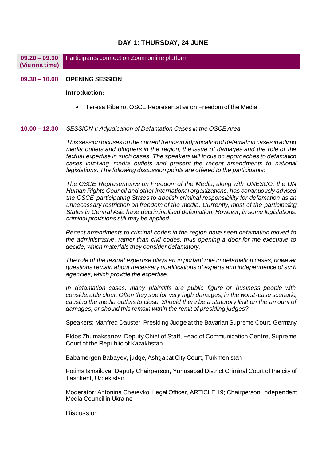## **DAY 1: THURSDAY, 24 JUNE**

**09.20 – 09.30 (Vienna time) Participants connect on Zoom online platform** 

#### **09.30 – 10.00 OPENING SESSION**

### **Introduction:**

Teresa Ribeiro, OSCE Representative on Freedom of the Media

#### **10.00 – 12.30** *SESSION I: Adjudication of Defamation Cases in the OSCE Area*

*This session focuses on the current trends in adjudication of defamation cases involving media outlets and bloggers in the region, the issue of damages and the role of the textual expertise in such cases. The speakers will focus on approaches to defamation cases involving media outlets and present the recent amendments to national legislations. The following discussion points are offered to the participants:*

*The OSCE Representative on Freedom of the Media, along with UNESCO, the UN Human Rights Council and other international organizations, has continuously advised the OSCE participating States to abolish criminal responsibility for defamation as an unnecessary restriction on freedom of the media. Currently, most of the participating States in Central Asia have decriminalised defamation. However, in some legislations, criminal provisions still may be applied.* 

*Recent amendments to criminal codes in the region have seen defamation moved to the administrative, rather than civil codes, thus opening a door for the executive to decide, which materials they consider defamatory.*

*The role of the textual expertise plays an important role in defamation cases, however questions remain about necessary qualifications of experts and independence of such agencies, which provide the expertise.*

*In defamation cases, many plaintiffs are public figure or business people with considerable clout. Often they sue for very high damages, in the worst-case scenario, causing the media outlets to close. Should there be a statutory limit on the amount of damages, or should this remain within the remit of presiding judges?*

Speakers: Manfred Dauster, Presiding Judge at the Bavarian Supreme Court, Germany

Eldos Zhumaksanov, Deputy Chief of Staff, Head of Communication Centre, Supreme Court of the Republic of Kazakhstan

Babamergen Babayev, judge, Ashgabat City Court, Turkmenistan

Fotima Ismailova, Deputy Chairperson, Yunusabad District Criminal Court of the city of Tashkent, Uzbekistan

Moderator: Antonina Cherevko, Legal Officer, ARTICLE 19; Chairperson, Independent Media Council in Ukraine

**Discussion**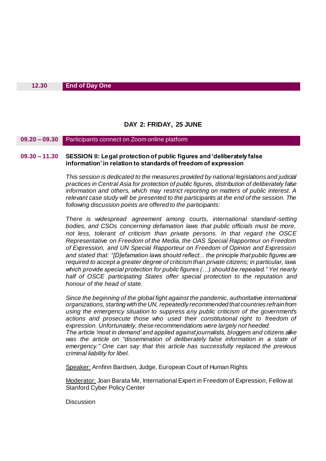# **DAY 2: FRIDAY, 25 JUNE**

**09.20 – 09.30** Participants connect on Zoom online platform

## **09.30 – 11.30 SESSION II: Legal protection of public figures and 'deliberately false information' in relation to standards of freedom of expression**

*This session is dedicated to the measures provided by national legislations and judicial practices in Central Asia for protection of public figures, distribution of deliberately false information and others, which may restrict reporting on matters of public interest. A relevant case study will be presented to the participants at the end of the session. The following discussion points are offered to the participants:*

*There is widespread agreement among courts, international standard-setting bodies, and CSOs concerning defamation laws that public officials must be more, not less, tolerant of criticism than private persons. In that regard the OSCE Representative on Freedom of the Media, the OAS Special Rapporteur on Freedom of Expression, and UN Special Rapporteur on Freedom of Opinion and Expression and stated that: "[D]efamation laws should reflect... the principle that public figures are required to accept a greater degree of criticism than private citizens; in particular, laws which provide special protection for public figures (…) should be repealed." Yet nearly half of OSCE participating States offer special protection to the reputation and honour of the head of state.*

*Since the beginning of the global fight against the pandemic, authoritative international organizations, starting with the UN, repeatedly recommended that countries refrain from using the emergency situation to suppress any public criticism of the government's*  actions and prosecute those who used their constitutional right to freedom of *expression. Unfortunately, these recommendations were largely not heeded. The article 'most in demand' and applied against journalists, bloggers and citizens alike*  was the article on "dissemination of deliberately false information in a state of *emergency." One can say that this article has successfully replaced the previous criminal liability for libel.*

Speaker: Arnfinn Bardsen, Judge, European Court of Human Rights

Moderator: Joan Barata Mir, International Expert in Freedom of Expression, Fellow at Stanford Cyber Policy Center

**Discussion**